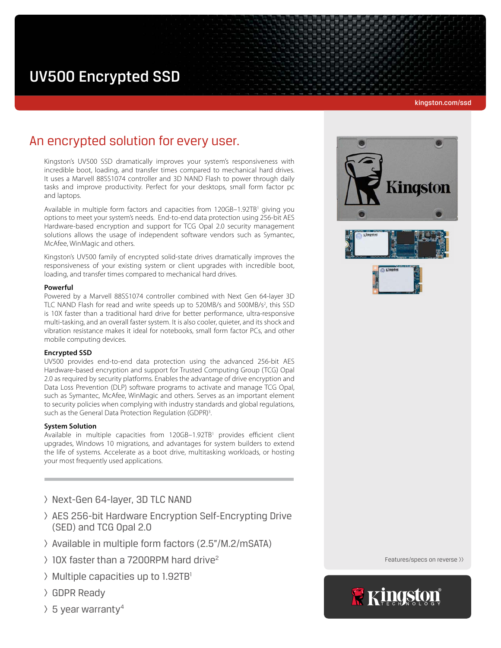# UV500 Encrypted SSD

#### kingston.com/ssd

# An encrypted solution for every user.

Kingston's UV500 SSD dramatically improves your system's responsiveness with incredible boot, loading, and transfer times compared to mechanical hard drives. It uses a Marvell 88SS1074 controller and 3D NAND Flash to power through daily tasks and improve productivity. Perfect for your desktops, small form factor pc and laptops.

Available in multiple form factors and capacities from 120GB-1.92TB<sup>1</sup> giving you options to meet your system's needs. End-to-end data protection using 256-bit AES Hardware-based encryption and support for TCG Opal 2.0 security management solutions allows the usage of independent software vendors such as Symantec, McAfee, WinMagic and others.

Kingston's UV500 family of encrypted solid-state drives dramatically improves the responsiveness of your existing system or client upgrades with incredible boot, loading, and transfer times compared to mechanical hard drives.

# **Powerful**

Powered by a Marvell 88SS1074 controller combined with Next Gen 64-layer 3D TLC NAND Flash for read and write speeds up to 520MB/s and 500MB/s<sup>2</sup>, this SSD is 10X faster than a traditional hard drive for better performance, ultra-responsive multi-tasking, and an overall faster system. It is also cooler, quieter, and its shock and vibration resistance makes it ideal for notebooks, small form factor PCs, and other mobile computing devices.

## **Encrypted SSD**

UV500 provides end-to-end data protection using the advanced 256-bit AES Hardware-based encryption and support for Trusted Computing Group (TCG) Opal 2.0 as required by security platforms. Enables the advantage of drive encryption and Data Loss Prevention (DLP) software programs to activate and manage TCG Opal, such as Symantec, McAfee, WinMagic and others. Serves as an important element to security policies when complying with industry standards and global regulations, such as the General Data Protection Regulation (GDPR)<sup>3</sup>. .

#### **System Solution**

Available in multiple capacities from 120GB-1.92TB<sup>1</sup> provides efficient client upgrades, Windows 10 migrations, and advantages for system builders to extend the life of systems. Accelerate as a boot drive, multitasking workloads, or hosting your most frequently used applications.

- > Next-Gen 64-layer, 3D TLC NAND
- > AES 256-bit Hardware Encryption Self-Encrypting Drive (SED) and TCG Opal 2.0
- > Available in multiple form factors (2.5"/M.2/mSATA)
- $\geq$  10X faster than a 7200RPM hard drive<sup>2</sup>
- $\triangleright$  Multiple capacities up to 1.92TB<sup>1</sup>
- > GDPR Ready
- $\frac{1}{2}$  5 year warranty<sup>4</sup>



Features/specs on reverse >>